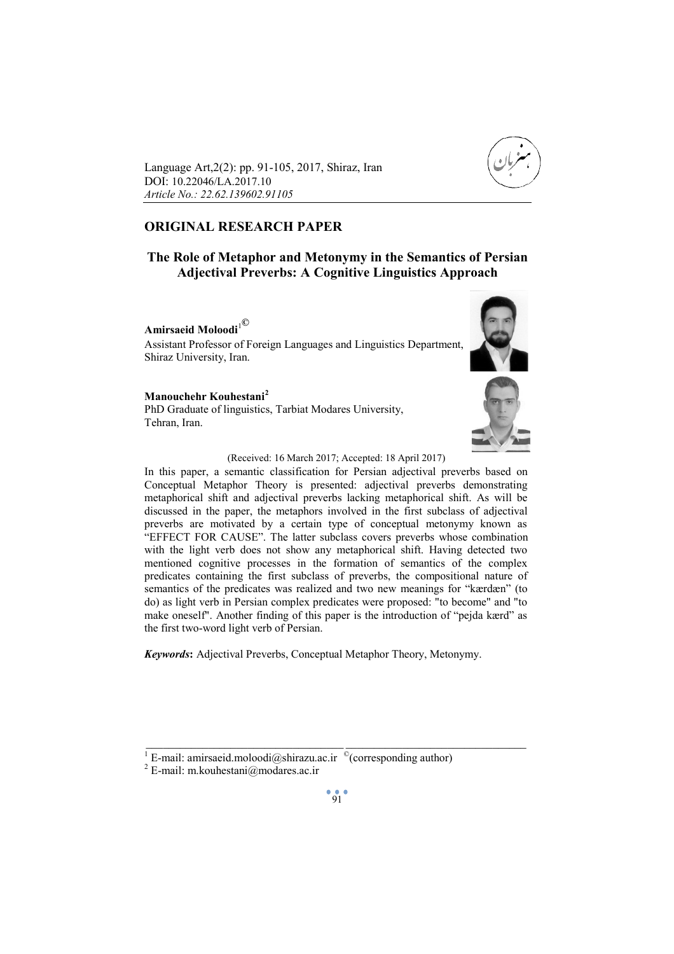

Language Art,2(2): pp. 91-105, 2017, Shiraz, Iran DOI: 10.22046/LA.2017.10 *Article No.: 22.62.139602.91105*

# **ORIGINAL RESEARCH PAPER**

# **The Role of Metaphor and Metonymy in the Semantics of Persian Adjectival Preverbs: A Cognitive Linguistics Approach**

**Amirsaeid Moloodi**<sup>1</sup>**©**

Assistant Professor of Foreign Languages and Linguistics Department, Shiraz University, Iran.

## **Manouchehr Kouhestani<sup>2</sup>**

PhD Graduate of linguistics, Tarbiat Modares University, Tehran, Iran.





#### (Received: 16 March 2017; Accepted: 18 April 2017)

In this paper, a semantic classification for Persian adjectival preverbs based on Conceptual Metaphor Theory is presented: adjectival preverbs demonstrating metaphorical shift and adjectival preverbs lacking metaphorical shift. As will be discussed in the paper, the metaphors involved in the first subclass of adjectival preverbs are motivated by a certain type of conceptual metonymy known as "EFFECT FOR CAUSE". The latter subclass covers preverbs whose combination with the light verb does not show any metaphorical shift. Having detected two mentioned cognitive processes in the formation of semantics of the complex predicates containing the first subclass of preverbs, the compositional nature of semantics of the predicates was realized and two new meanings for "kærdæn" (to do) as light verb in Persian complex predicates were proposed: "to become" and "to make oneself". Another finding of this paper is the introduction of "pejda kærd" as the first two-word light verb of Persian.

*Keywords***:** Adjectival Preverbs, Conceptual Metaphor Theory, Metonymy.

 $\frac{1}{2}$  , and the set of the set of the set of the set of the set of the set of the set of the set of the set of the set of the set of the set of the set of the set of the set of the set of the set of the set of the set

<sup>&</sup>lt;sup>1</sup> E-mail: amirsaeid.moloodi@shirazu.ac.ir  $\text{°(corresponding author)}$ <br><sup>2</sup> E-mail: m.kouhestani@modares.ac.ir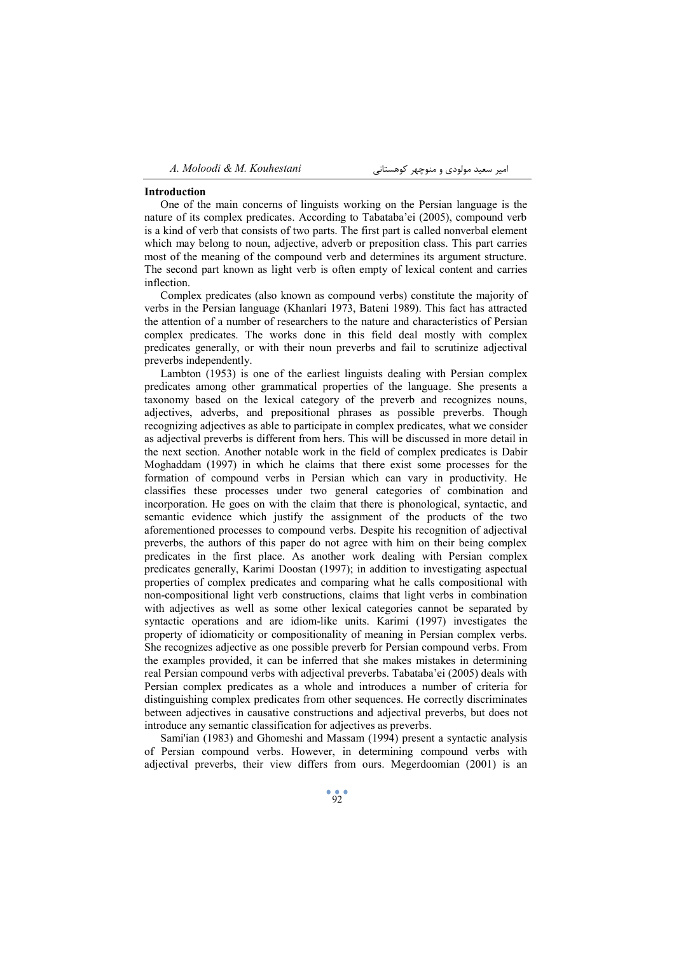#### **Introduction**

One of the main concerns of linguists working on the Persian language is the nature of its complex predicates. According to Tabataba'ei (2005), compound verb is a kind of verb that consists of two parts. The first part is called nonverbal element which may belong to noun, adjective, adverb or preposition class. This part carries most of the meaning of the compound verb and determines its argument structure. The second part known as light verb is often empty of lexical content and carries inflection.

Complex predicates (also known as compound verbs) constitute the majority of verbs in the Persian language (Khanlari 1973, Bateni 1989). This fact has attracted the attention of a number of researchers to the nature and characteristics of Persian complex predicates. The works done in this field deal mostly with complex predicates generally, or with their noun preverbs and fail to scrutinize adjectival preverbs independently.

Lambton (1953) is one of the earliest linguists dealing with Persian complex predicates among other grammatical properties of the language. She presents a taxonomy based on the lexical category of the preverb and recognizes nouns, adjectives, adverbs, and prepositional phrases as possible preverbs. Though recognizing adjectives as able to participate in complex predicates, what we consider as adjectival preverbs is different from hers. This will be discussed in more detail in the next section. Another notable work in the field of complex predicates is Dabir Moghaddam (1997) in which he claims that there exist some processes for the formation of compound verbs in Persian which can vary in productivity. He classifies these processes under two general categories of combination and incorporation. He goes on with the claim that there is phonological, syntactic, and semantic evidence which justify the assignment of the products of the two aforementioned processes to compound verbs. Despite his recognition of adjectival preverbs, the authors of this paper do not agree with him on their being complex predicates in the first place. As another work dealing with Persian complex predicates generally, Karimi Doostan (1997); in addition to investigating aspectual properties of complex predicates and comparing what he calls compositional with non-compositional light verb constructions, claims that light verbs in combination with adjectives as well as some other lexical categories cannot be separated by syntactic operations and are idiom-like units. Karimi (1997) investigates the property of idiomaticity or compositionality of meaning in Persian complex verbs. She recognizes adjective as one possible preverb for Persian compound verbs. From the examples provided, it can be inferred that she makes mistakes in determining real Persian compound verbs with adjectival preverbs. Tabataba'ei (2005) deals with Persian complex predicates as a whole and introduces a number of criteria for distinguishing complex predicates from other sequences. He correctly discriminates between adjectives in causative constructions and adjectival preverbs, but does not introduce any semantic classification for adjectives as preverbs.

Sami'ian (1983) and Ghomeshi and Massam (1994) present a syntactic analysis of Persian compound verbs. However, in determining compound verbs with adjectival preverbs, their view differs from ours. Megerdoomian (2001) is an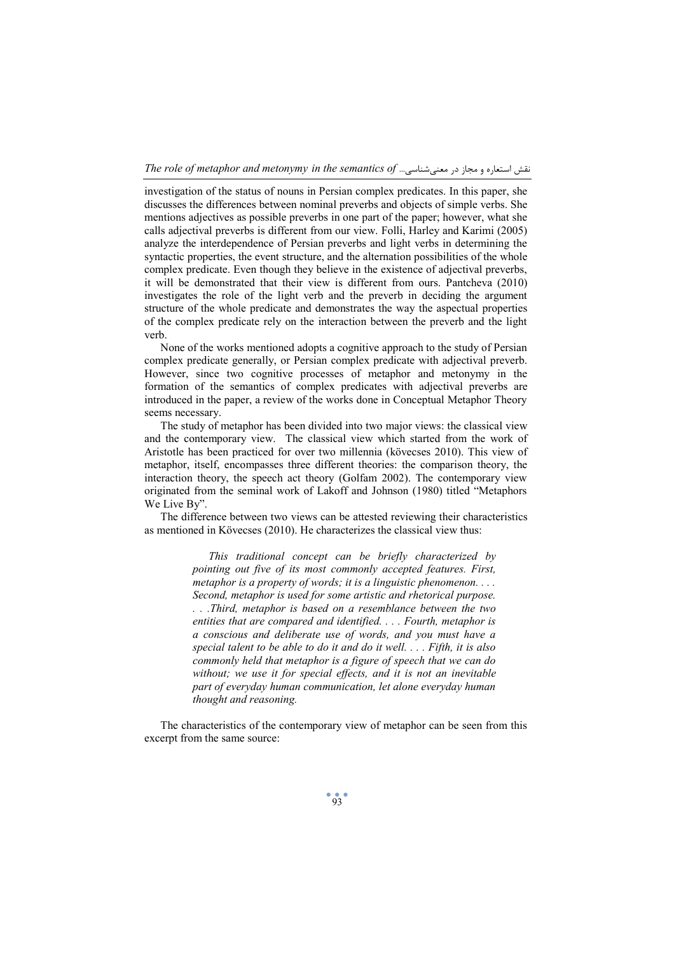*The role of metaphor and metonymy in the semantics of* ...معنیشناسی در مجاز و استعاره نقش

investigation of the status of nouns in Persian complex predicates. In this paper, she discusses the differences between nominal preverbs and objects of simple verbs. She mentions adjectives as possible preverbs in one part of the paper; however, what she calls adjectival preverbs is different from our view. Folli, Harley and Karimi (2005) analyze the interdependence of Persian preverbs and light verbs in determining the syntactic properties, the event structure, and the alternation possibilities of the whole complex predicate. Even though they believe in the existence of adjectival preverbs, it will be demonstrated that their view is different from ours. Pantcheva (2010) investigates the role of the light verb and the preverb in deciding the argument structure of the whole predicate and demonstrates the way the aspectual properties of the complex predicate rely on the interaction between the preverb and the light verb.

None of the works mentioned adopts a cognitive approach to the study of Persian complex predicate generally, or Persian complex predicate with adjectival preverb. However, since two cognitive processes of metaphor and metonymy in the formation of the semantics of complex predicates with adjectival preverbs are introduced in the paper, a review of the works done in Conceptual Metaphor Theory seems necessary.

The study of metaphor has been divided into two major views: the classical view and the contemporary view. The classical view which started from the work of Aristotle has been practiced for over two millennia (kövecses 2010). This view of metaphor, itself, encompasses three different theories: the comparison theory, the interaction theory, the speech act theory (Golfam 2002). The contemporary view originated from the seminal work of Lakoff and Johnson (1980) titled "Metaphors We Live By".

The difference between two views can be attested reviewing their characteristics as mentioned in Kövecses (2010). He characterizes the classical view thus:

> *This traditional concept can be briefly characterized by pointing out five of its most commonly accepted features. First, metaphor is a property of words; it is a linguistic phenomenon. . . . Second, metaphor is used for some artistic and rhetorical purpose. . . .Third, metaphor is based on a resemblance between the two entities that are compared and identified. . . . Fourth, metaphor is a conscious and deliberate use of words, and you must have a special talent to be able to do it and do it well. . . . Fifth, it is also commonly held that metaphor is a figure of speech that we can do without; we use it for special effects, and it is not an inevitable part of everyday human communication, let alone everyday human thought and reasoning.*

The characteristics of the contemporary view of metaphor can be seen from this excerpt from the same source: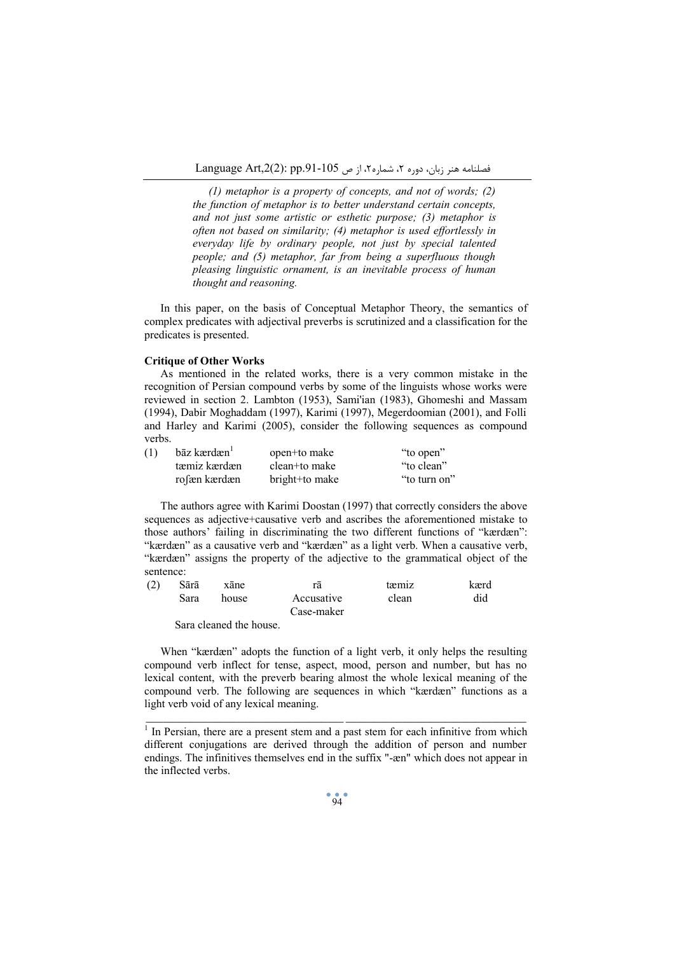*(1) metaphor is a property of concepts, and not of words; (2) the function of metaphor is to better understand certain concepts, and not just some artistic or esthetic purpose; (3) metaphor is often not based on similarity; (4) metaphor is used effortlessly in everyday life by ordinary people, not just by special talented people; and (5) metaphor, far from being a superfluous though pleasing linguistic ornament, is an inevitable process of human thought and reasoning.* 

In this paper, on the basis of Conceptual Metaphor Theory, the semantics of complex predicates with adjectival preverbs is scrutinized and a classification for the predicates is presented.

#### **Critique of Other Works**

As mentioned in the related works, there is a very common mistake in the recognition of Persian compound verbs by some of the linguists whose works were reviewed in section 2. Lambton (1953), Sami'ian (1983), Ghomeshi and Massam (1994), Dabir Moghaddam (1997), Karimi (1997), Megerdoomian (2001), and Folli and Harley and Karimi (2005), consider the following sequences as compound verbs.

| (1) | $b\bar{a}z$ kærdæn $\bar{a}$ | open+to make   | "to open"    |
|-----|------------------------------|----------------|--------------|
|     | tæmiz kærdæn                 | clean+to make  | "to clean"   |
|     | rofæn kærdæn                 | bright+to make | "to turn on" |

The authors agree with Karimi Doostan (1997) that correctly considers the above sequences as adjective+causative verb and ascribes the aforementioned mistake to those authors' failing in discriminating the two different functions of "kærdæn": "kærdæn" as a causative verb and "kærdæn" as a light verb. When a causative verb, "kærdæn" assigns the property of the adjective to the grammatical object of the sentence:

| (2) | Sārā | xāne  | ra         | tæmiz | kærd |
|-----|------|-------|------------|-------|------|
|     | Sara | house | Accusative | clean | did  |
|     |      |       | Case-maker |       |      |

Sara cleaned the house.

When "kærdæn" adopts the function of a light verb, it only helps the resulting compound verb inflect for tense, aspect, mood, person and number, but has no lexical content, with the preverb bearing almost the whole lexical meaning of the compound verb. The following are sequences in which "kærdæn" functions as a light verb void of any lexical meaning.

 $\overline{I}$  In Persian, there are a present stem and a past stem for each infinitive from which different conjugations are derived through the addition of person and number endings. The infinitives themselves end in the suffix "-æn" which does not appear in the inflected verbs.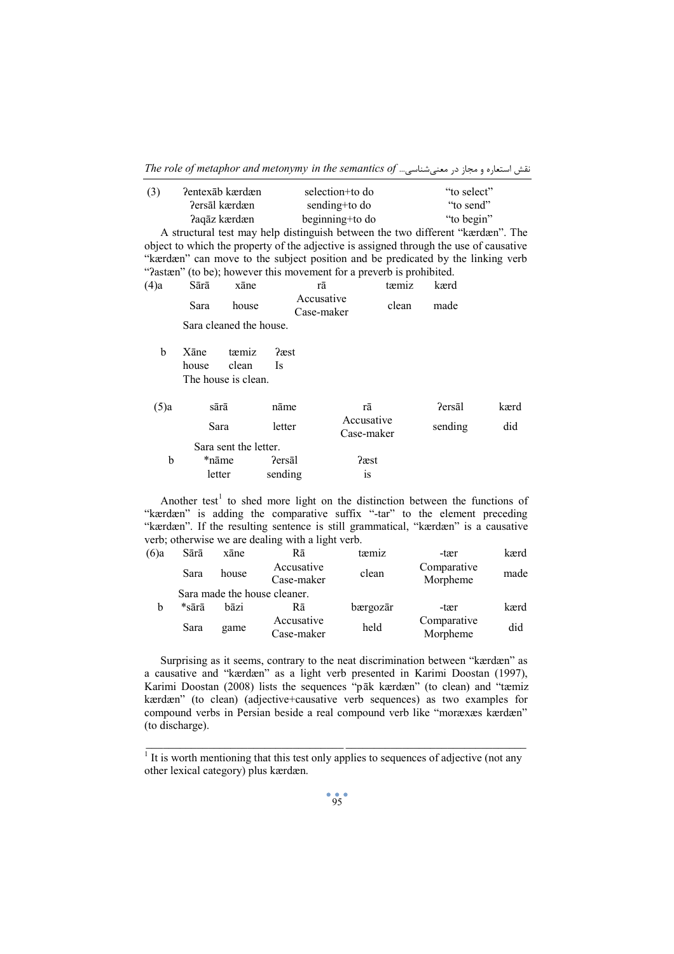| نقش استعاره و مجاز در معنى شناسى The role of metaphor and metonymy in the semantics of |  |  |  |  |  |
|----------------------------------------------------------------------------------------|--|--|--|--|--|
|----------------------------------------------------------------------------------------|--|--|--|--|--|

| (3) | Pentexab kærdæn | selection+to do | "to select" |
|-----|-----------------|-----------------|-------------|
|     | Persāl kærdæn   | sending+to do   | "to send"   |
|     | Paqāz kærdæn    | beginning+to do | "to begin"  |

A structural test may help distinguish between the two different "kærdæn". The object to which the property of the adjective is assigned through the use of causative "kærdæn" can move to the subject position and be predicated by the linking verb "?astæn" (to be); however this movement for a preverb is prohibited.

| $(4)$ a | Sārā          | xāne                                  | rā                       | tæmiz | kærd          |      |
|---------|---------------|---------------------------------------|--------------------------|-------|---------------|------|
|         | Sara          | house                                 | Accusative<br>Case-maker | clean | made          |      |
|         |               | Sara cleaned the house.               |                          |       |               |      |
| b       | Xāne<br>house | tæmiz<br>clean<br>The house is clean. | ?æst<br><sup>1</sup> S   |       |               |      |
| $(5)$ a | sārā          |                                       | nāme                     | rā    | <b>Persal</b> | kærd |

| $(3)$ id | sara                  | name    | ға                       | refsal  | кала |
|----------|-----------------------|---------|--------------------------|---------|------|
|          | Sara                  | letter  | Accusative<br>Case-maker | sending | did  |
|          | Sara sent the letter. |         |                          |         |      |
|          | *nāme                 | ?ersāl  | ?æst                     |         |      |
|          | letter                | sending | 1S                       |         |      |

Another test<sup>1</sup> to shed more light on the distinction between the functions of "kærdæn" is adding the comparative suffix "-tar" to the element preceding "kærdæn". If the resulting sentence is still grammatical, "kærdæn" is a causative verb; otherwise we are dealing with a light verb.

| $(6)$ a | Sārā  | xāne       | Rā                           | tæmiz    | -tær                    | kærd |
|---------|-------|------------|------------------------------|----------|-------------------------|------|
|         | Sara  | house      | Accusative<br>Case-maker     | clean    | Comparative<br>Morpheme | made |
|         |       |            | Sara made the house cleaner. |          |                         |      |
| b       | *sārā | bāzi       | Rā                           | bærgozār | -tær                    | kærd |
|         | Sara  | game       | Accusative                   | held     | Comparative             | did  |
|         |       | Case-maker |                              | Morpheme |                         |      |

Surprising as it seems, contrary to the neat discrimination between "kærdæn" as a causative and "kærdæn" as a light verb presented in Karimi Doostan (1997), Karimi Doostan (2008) lists the sequences "pāk kærdæn" (to clean) and "tæmiz kærdæn" (to clean) (adjective+causative verb sequences) as two examples for compound verbs in Persian beside a real compound verb like "moræxæs kærdæn" (to discharge).

 $\overline{\text{It is worth mentioning that this test only applies to sequences of adjective (not any) }$ other lexical category) plus kærdæn.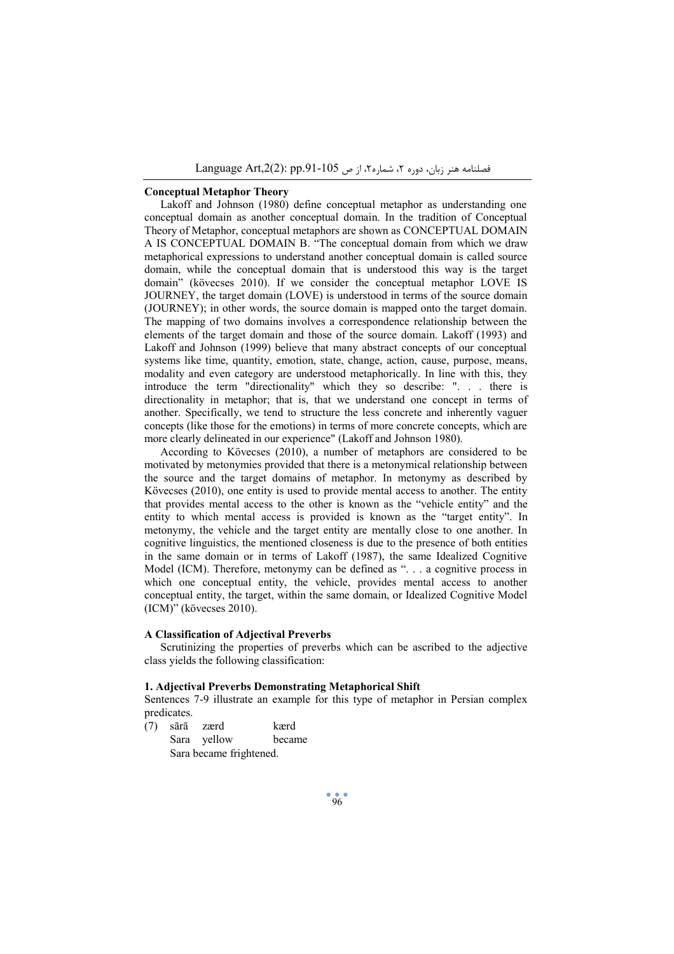# **Conceptual Metaphor Theory**

Lakoff and Johnson (1980) define conceptual metaphor as understanding one conceptual domain as another conceptual domain. In the tradition of Conceptual Theory of Metaphor, conceptual metaphors are shown as CONCEPTUAL DOMAIN A IS CONCEPTUAL DOMAIN B. "The conceptual domain from which we draw metaphorical expressions to understand another conceptual domain is called source domain, while the conceptual domain that is understood this way is the target domain" (kövecses 2010). If we consider the conceptual metaphor LOVE IS JOURNEY, the target domain (LOVE) is understood in terms of the source domain (JOURNEY); in other words, the source domain is mapped onto the target domain. The mapping of two domains involves a correspondence relationship between the elements of the target domain and those of the source domain. Lakoff (1993) and Lakoff and Johnson (1999) believe that many abstract concepts of our conceptual systems like time, quantity, emotion, state, change, action, cause, purpose, means, modality and even category are understood metaphorically. In line with this, they introduce the term "directionality" which they so describe: ". . . there is directionality in metaphor; that is, that we understand one concept in terms of another. Specifically, we tend to structure the less concrete and inherently vaguer concepts (like those for the emotions) in terms of more concrete concepts, which are more clearly delineated in our experience" (Lakoff and Johnson 1980).

According to Kövecses (2010), a number of metaphors are considered to be motivated by metonymies provided that there is a metonymical relationship between the source and the target domains of metaphor. In metonymy as described by Kövecses (2010), one entity is used to provide mental access to another. The entity that provides mental access to the other is known as the "vehicle entity" and the entity to which mental access is provided is known as the "target entity". In metonymy, the vehicle and the target entity are mentally close to one another. In cognitive linguistics, the mentioned closeness is due to the presence of both entities in the same domain or in terms of Lakoff (1987), the same Idealized Cognitive Model (ICM). Therefore, metonymy can be defined as ". . . a cognitive process in which one conceptual entity, the vehicle, provides mental access to another conceptual entity, the target, within the same domain, or Idealized Cognitive Model (ICM)" (kövecses 2010).

#### **A Classification of Adjectival Preverbs**

Scrutinizing the properties of preverbs which can be ascribed to the adjective class yields the following classification:

## **1. Adjectival Preverbs Demonstrating Metaphorical Shift**

Sentences 7-9 illustrate an example for this type of metaphor in Persian complex predicates.

(7) sārā zærd kærd Sara yellow became Sara became frightened.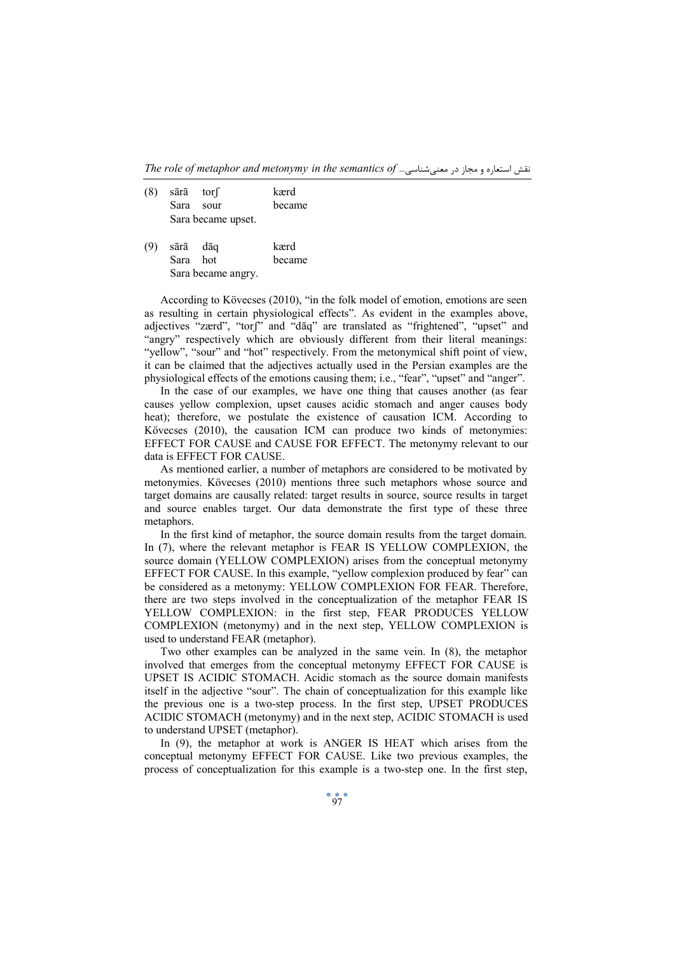*The role of metaphor and metonymy in the semantics of* ...معنیشناسی در مجاز و استعاره نقش

| $(8)$ sārā tors |                    | kærd   |
|-----------------|--------------------|--------|
|                 | Sara sour          | became |
|                 | Sara became upset. |        |

|                    | $(9)$ sārā dāg |  | kærd   |
|--------------------|----------------|--|--------|
|                    | Sara hot       |  | became |
| Sara became angry. |                |  |        |

According to Kövecses (2010), "in the folk model of emotion, emotions are seen as resulting in certain physiological effects". As evident in the examples above, adjectives "zærd", "torʃ" and "dāq" are translated as "frightened", "upset" and "angry" respectively which are obviously different from their literal meanings: "vellow", "sour" and "hot" respectively. From the metonymical shift point of view, it can be claimed that the adjectives actually used in the Persian examples are the physiological effects of the emotions causing them; i.e., "fear", "upset" and "anger".

In the case of our examples, we have one thing that causes another (as fear causes yellow complexion, upset causes acidic stomach and anger causes body heat); therefore, we postulate the existence of causation ICM. According to Kövecses (2010), the causation ICM can produce two kinds of metonymies: EFFECT FOR CAUSE and CAUSE FOR EFFECT. The metonymy relevant to our data is EFFECT FOR CAUSE.

As mentioned earlier, a number of metaphors are considered to be motivated by metonymies. Kövecses (2010) mentions three such metaphors whose source and target domains are causally related: target results in source, source results in target and source enables target. Our data demonstrate the first type of these three metaphors.

In the first kind of metaphor, the source domain results from the target domain. In (7), where the relevant metaphor is FEAR IS YELLOW COMPLEXION, the source domain (YELLOW COMPLEXION) arises from the conceptual metonymy EFFECT FOR CAUSE. In this example, "yellow complexion produced by fear" can be considered as a metonymy: YELLOW COMPLEXION FOR FEAR. Therefore, there are two steps involved in the conceptualization of the metaphor FEAR IS YELLOW COMPLEXION: in the first step, FEAR PRODUCES YELLOW COMPLEXION (metonymy) and in the next step, YELLOW COMPLEXION is used to understand FEAR (metaphor).

Two other examples can be analyzed in the same vein. In (8), the metaphor involved that emerges from the conceptual metonymy EFFECT FOR CAUSE is UPSET IS ACIDIC STOMACH. Acidic stomach as the source domain manifests itself in the adjective "sour". The chain of conceptualization for this example like the previous one is a two-step process. In the first step, UPSET PRODUCES ACIDIC STOMACH (metonymy) and in the next step, ACIDIC STOMACH is used to understand UPSET (metaphor).

In (9), the metaphor at work is ANGER IS HEAT which arises from the conceptual metonymy EFFECT FOR CAUSE. Like two previous examples, the process of conceptualization for this example is a two-step one. In the first step,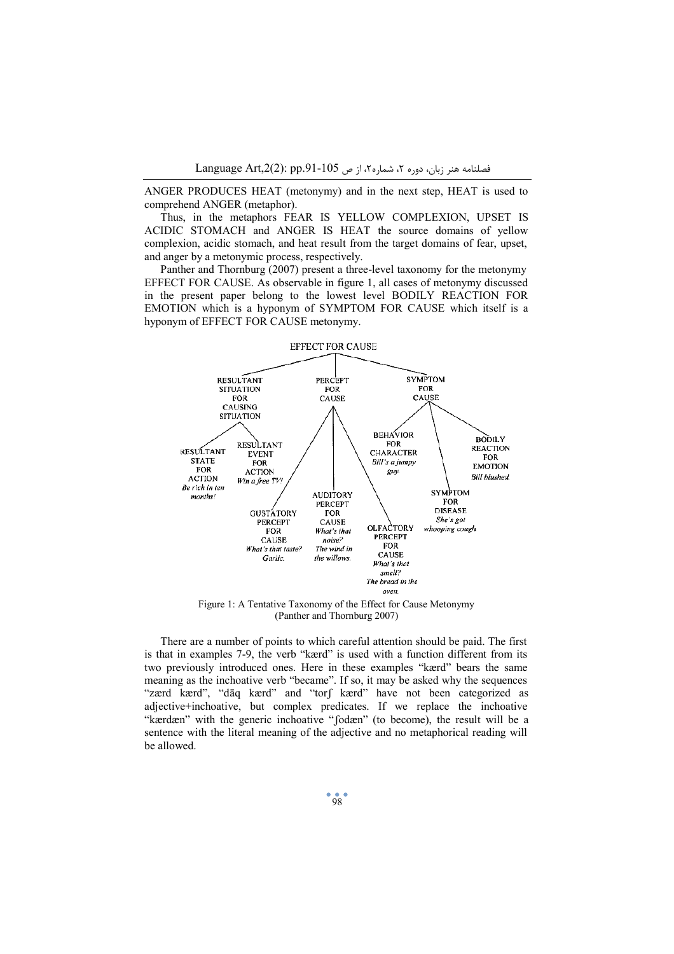ANGER PRODUCES HEAT (metonymy) and in the next step, HEAT is used to comprehend ANGER (metaphor).

Thus, in the metaphors FEAR IS YELLOW COMPLEXION, UPSET IS ACIDIC STOMACH and ANGER IS HEAT the source domains of yellow complexion, acidic stomach, and heat result from the target domains of fear, upset, and anger by a metonymic process, respectively.

Panther and Thornburg (2007) present a three-level taxonomy for the metonymy EFFECT FOR CAUSE. As observable in figure 1, all cases of metonymy discussed in the present paper belong to the lowest level BODILY REACTION FOR EMOTION which is a hyponym of SYMPTOM FOR CAUSE which itself is a hyponym of EFFECT FOR CAUSE metonymy.



Figure 1: A Tentative Taxonomy of the Effect for Cause Metonymy (Panther and Thornburg 2007)

There are a number of points to which careful attention should be paid. The first is that in examples 7-9, the verb "kærd" is used with a function different from its two previously introduced ones. Here in these examples "kærd" bears the same meaning as the inchoative verb "became". If so, it may be asked why the sequences "zærd kærd", "dāq kærd" and "torʃ kærd" have not been categorized as adjective+inchoative, but complex predicates. If we replace the inchoative "kærdæn" with the generic inchoative "ʃodæn" (to become), the result will be a sentence with the literal meaning of the adjective and no metaphorical reading will be allowed.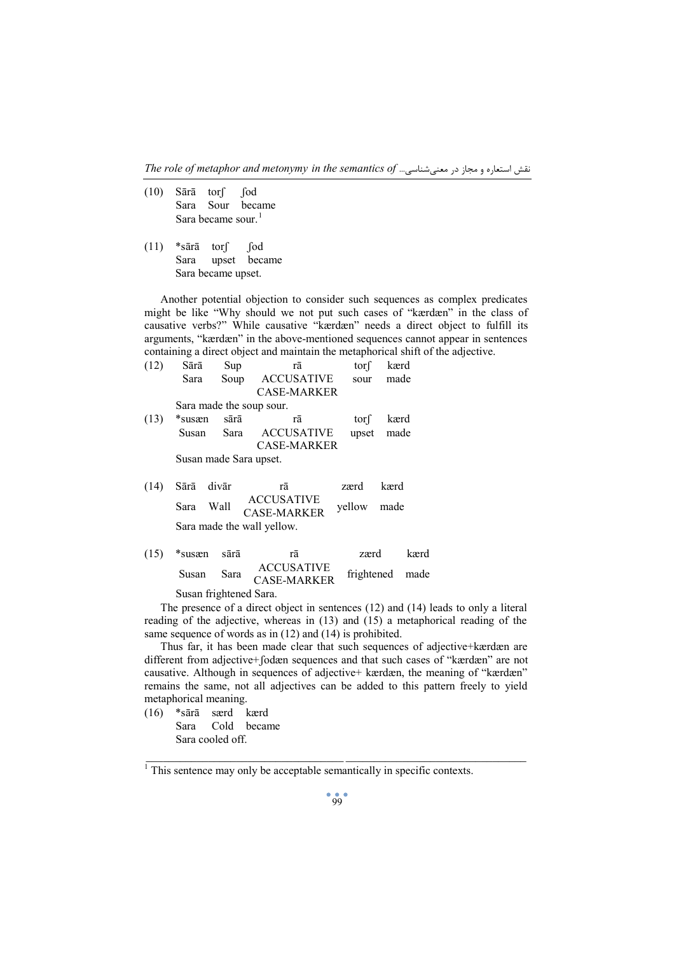*The role of metaphor and metonymy in the semantics of* ...معنیشناسی در مجاز و استعاره نقش

- $(10)$  Sārā torf fod Sara Sour became Sara became sour.<sup>1</sup>
- $(11)$  \*sārā tors fod Sara upset became Sara became upset.

Another potential objection to consider such sequences as complex predicates might be like "Why should we not put such cases of "kærdæn" in the class of causative verbs?" While causative "kærdæn" needs a direct object to fulfill its arguments, "kærdæn" in the above-mentioned sequences cannot appear in sentences containing a direct object and maintain the metaphorical shift of the adjective.

| (12) | Sārā                   | Sup   | rā                       | tor   | kærd |
|------|------------------------|-------|--------------------------|-------|------|
|      | Sara                   | Soup  | <b>ACCUSATIVE</b>        | sour  | made |
|      |                        |       | <b>CASE-MARKER</b>       |       |      |
|      |                        |       | Sara made the soup sour. |       |      |
| (13) | *susæn                 | sārā  | rā                       | torf  | kærd |
|      | Susan                  | Sara  | <b>ACCUSATIVE</b>        | upset | made |
|      |                        |       | <b>CASE-MARKER</b>       |       |      |
|      | Susan made Sara upset. |       |                          |       |      |
|      |                        |       |                          |       |      |
| (14) | Sārā                   | divār | rā                       | zærd  | kærd |

Sara Wall ACCUSATIVE CASE-MARKER yellow made Sara made the wall yellow.

| $(15)$ *susæn sārā    |      | rā                                      | zærd            | kærd |
|-----------------------|------|-----------------------------------------|-----------------|------|
| Susan                 | Sara | <b>ACCUSATIVE</b><br><b>CASE-MARKER</b> | frightened made |      |
| Cugan frichtonad Caro |      |                                         |                 |      |

Susan frightened Sara.

The presence of a direct object in sentences (12) and (14) leads to only a literal reading of the adjective, whereas in (13) and (15) a metaphorical reading of the same sequence of words as in (12) and (14) is prohibited.

Thus far, it has been made clear that such sequences of adjective+kærdæn are different from adjective+ʃodæn sequences and that such cases of "kærdæn" are not causative. Although in sequences of adjective+ kærdæn, the meaning of "kærdæn" remains the same, not all adjectives can be added to this pattern freely to yield metaphorical meaning.

(16) \*sārā særd kærd Sara Cold became Sara cooled off.

 $\frac{1}{2}$  , and the set of the set of the set of the set of the set of the set of the set of the set of the set of the set of the set of the set of the set of the set of the set of the set of the set of the set of the set

 $<sup>1</sup>$  This sentence may only be acceptable semantically in specific contexts.</sup>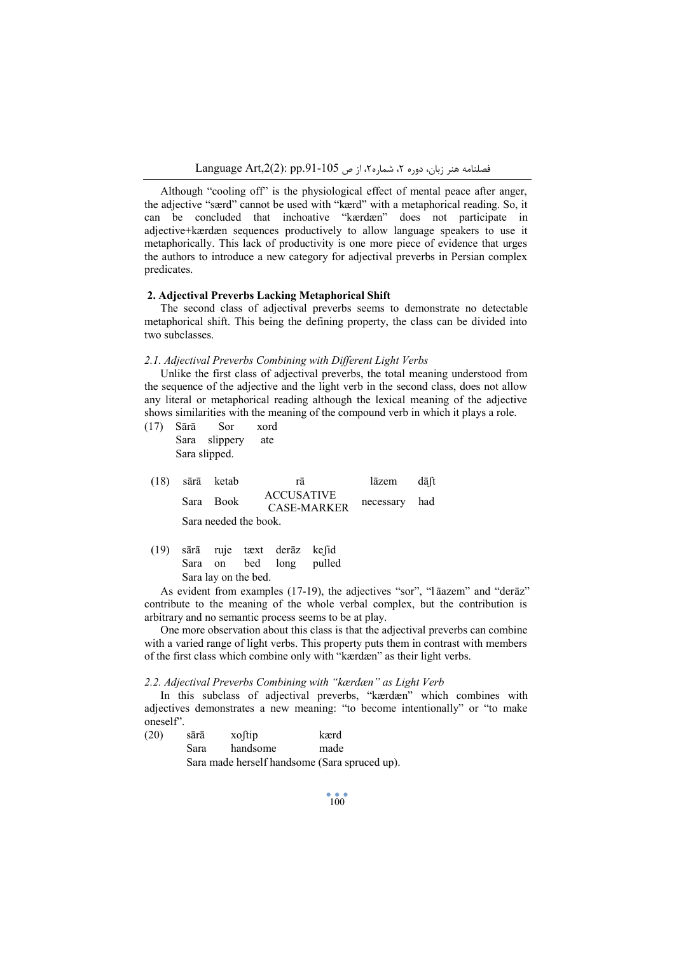Although "cooling off" is the physiological effect of mental peace after anger, the adjective "særd" cannot be used with "kærd" with a metaphorical reading. So, it can be concluded that inchoative "kærdæn" does not participate in adjective+kærdæn sequences productively to allow language speakers to use it metaphorically. This lack of productivity is one more piece of evidence that urges the authors to introduce a new category for adjectival preverbs in Persian complex predicates.

## **2. Adjectival Preverbs Lacking Metaphorical Shift**

The second class of adjectival preverbs seems to demonstrate no detectable metaphorical shift. This being the defining property, the class can be divided into two subclasses.

#### *2.1. Adjectival Preverbs Combining with Different Light Verbs*

Unlike the first class of adjectival preverbs, the total meaning understood from the sequence of the adjective and the light verb in the second class, does not allow any literal or metaphorical reading although the lexical meaning of the adjective shows similarities with the meaning of the compound verb in which it plays a role.

| (17) Sārā     | – Sor         | xord |  |
|---------------|---------------|------|--|
|               | Sara slippery | ate  |  |
| Sara slipped. |               |      |  |

|  | $(18)$ sārā ketab     | rā                                      | lāzem         | dāft |
|--|-----------------------|-----------------------------------------|---------------|------|
|  | Sara Book             | <b>ACCUSATIVE</b><br><b>CASE-MARKER</b> | necessary had |      |
|  | Sara needed the book. |                                         |               |      |

|  |                      | (19) sārā ruje tæxt derāz kefid |                         |
|--|----------------------|---------------------------------|-------------------------|
|  |                      |                                 | Sara on bed long pulled |
|  | Sara lay on the bed. |                                 |                         |

As evident from examples (17-19), the adjectives "sor", "l āazem" and "derāz" contribute to the meaning of the whole verbal complex, but the contribution is arbitrary and no semantic process seems to be at play.

One more observation about this class is that the adjectival preverbs can combine with a varied range of light verbs. This property puts them in contrast with members of the first class which combine only with "kærdæn" as their light verbs.

#### *2.2. Adjectival Preverbs Combining with "kærdæn" as Light Verb*

In this subclass of adjectival preverbs, "kærdæn" which combines with adjectives demonstrates a new meaning: "to become intentionally" or "to make oneself".

| (20) | sārā | xoftip   | kærd                                          |
|------|------|----------|-----------------------------------------------|
|      | Sara | handsome | made                                          |
|      |      |          | Sara made herself handsome (Sara spruced up). |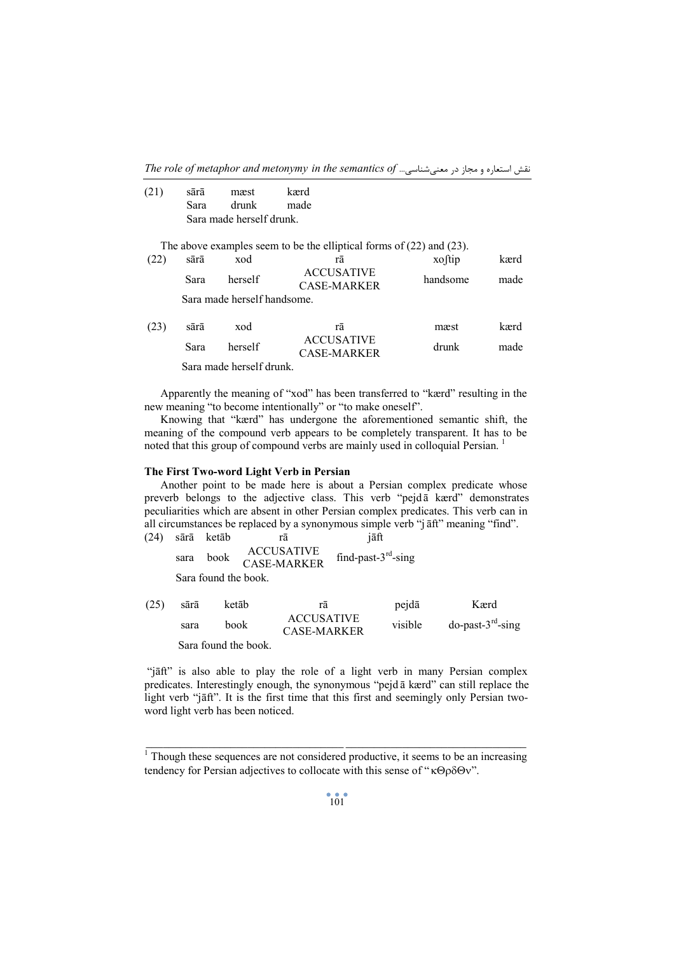*The role of metaphor and metonymy in the semantics of* ...معنیشناسی در مجاز و استعاره نقش

| (21) | sārā                     | mæst  | kærd |  |  |
|------|--------------------------|-------|------|--|--|
|      | Sara                     | drunk | made |  |  |
|      | Sara made herself drunk. |       |      |  |  |

The above examples seem to be the elliptical forms of (22) and (23).

| (22) | sārā                        | xod     | rā                               | xoftip   | kærd |  |  |
|------|-----------------------------|---------|----------------------------------|----------|------|--|--|
|      | Sara                        | herself | <b>ACCUSATIVE</b><br>CASE-MARKER | handsome | made |  |  |
|      | Sara made herself handsome. |         |                                  |          |      |  |  |

| (23) | sārā | xod                      | rā                               | mæst  | kærd |
|------|------|--------------------------|----------------------------------|-------|------|
|      | Sara | herself                  | <b>ACCUSATIVE</b><br>CASE-MARKER | drunk | made |
|      |      | Sara made herself drunk. |                                  |       |      |

Apparently the meaning of "xod" has been transferred to "kærd" resulting in the new meaning "to become intentionally" or "to make oneself".

Knowing that "kærd" has undergone the aforementioned semantic shift, the meaning of the compound verb appears to be completely transparent. It has to be noted that this group of compound verbs are mainly used in colloquial Persian. <sup>1</sup>

# **The First Two-word Light Verb in Persian**

Another point to be made here is about a Persian complex predicate whose preverb belongs to the adjective class. This verb "pejd ā kærd" demonstrates peculiarities which are absent in other Persian complex predicates. This verb can in all circumstances be replaced by a synonymous simple verb "j āft" meaning "find".

(24) sārā ketāb rā jāft sara book ACCUSATIVE CASE-MARKER find-past- $3<sup>rd</sup>$ -sing Sara found the book.

| (25) | sārā | ketāb                | rā                                      | pejdā   | Kærd                    |
|------|------|----------------------|-----------------------------------------|---------|-------------------------|
|      | sara | book                 | <b>ACCUSATIVE</b><br><b>CASE-MARKER</b> | visible | $do$ -past- $3rd$ -sing |
|      |      | Sara found the book. |                                         |         |                         |

"jāft" is also able to play the role of a light verb in many Persian complex predicates. Interestingly enough, the synonymous "pejd ā kærd" can still replace the light verb "jāft". It is the first time that this first and seemingly only Persian twoword light verb has been noticed.

 $\frac{1}{2}$  , and the set of the set of the set of the set of the set of the set of the set of the set of the set of the set of the set of the set of the set of the set of the set of the set of the set of the set of the set  $1$ <sup>1</sup> Though these sequences are not considered productive, it seems to be an increasing tendency for Persian adjectives to collocate with this sense of " $\kappa \Theta \rho \delta \Theta v$ ".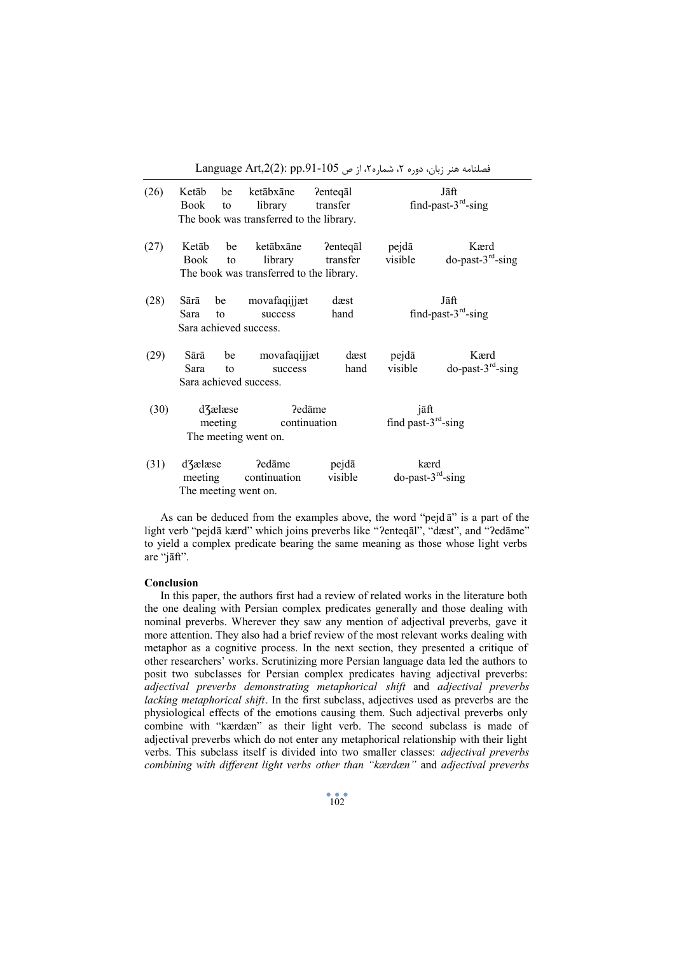$L$ anguage Art,2(2): pp.91-105 فصلنامه هنر زبان، دوره ٢، شماره٢، از ص

| (26) | Ketāb<br>Book                                                        | be<br>to | ketābxāne<br>library<br>The book was transferred to the library. | Pentegal<br>transfer           |                                 | Jāft<br>find-past- $3rd$ -sing  |
|------|----------------------------------------------------------------------|----------|------------------------------------------------------------------|--------------------------------|---------------------------------|---------------------------------|
| (27) | Ketāb<br>Book                                                        | be<br>to | ketābxāne<br>library<br>The book was transferred to the library. | Pentegal<br>transfer           | pejdā<br>visible                | Kærd<br>do-past- $3rd$ -sing    |
| (28) | Sārā<br>Sara                                                         | be<br>to | movafaqijjæt<br>success<br>Sara achieved success.                | dæst<br>hand                   |                                 | Jāft<br>find-past- $3rd$ -sing  |
| (29) | Sārā<br>Sara                                                         | be<br>to | movafaqijjæt<br>success<br>Sara achieved success.                | dæst<br>hand                   | pejdā<br>visible                | Kærd<br>$do$ -past- $3rd$ -sing |
| (30) | d3ælæse<br>Pedāme<br>meeting<br>continuation<br>The meeting went on. |          |                                                                  | jāft<br>find past- $3rd$ -sing |                                 |                                 |
| (31) | d <sup>7</sup> and d <sup>7</sup><br>meeting                         |          | ?edāme<br>continuation<br>The meeting went on.                   | pejdā<br>visible               | kærd<br>$do$ -past- $3rd$ -sing |                                 |

As can be deduced from the examples above, the word "pejd ā" is a part of the light verb "pejdā kærd" which joins preverbs like "ʔenteqāl", "dæst", and "ʔedāme" to yield a complex predicate bearing the same meaning as those whose light verbs are "jāft".

#### **Conclusion**

In this paper, the authors first had a review of related works in the literature both the one dealing with Persian complex predicates generally and those dealing with nominal preverbs. Wherever they saw any mention of adjectival preverbs, gave it more attention. They also had a brief review of the most relevant works dealing with metaphor as a cognitive process. In the next section, they presented a critique of other researchers' works. Scrutinizing more Persian language data led the authors to posit two subclasses for Persian complex predicates having adjectival preverbs: *adjectival preverbs demonstrating metaphorical shift* and *adjectival preverbs lacking metaphorical shift*. In the first subclass, adjectives used as preverbs are the physiological effects of the emotions causing them. Such adjectival preverbs only combine with "kærdæn" as their light verb. The second subclass is made of adjectival preverbs which do not enter any metaphorical relationship with their light verbs. This subclass itself is divided into two smaller classes: *adjectival preverbs combining with different light verbs other than "kærdæn"* and *adjectival preverbs*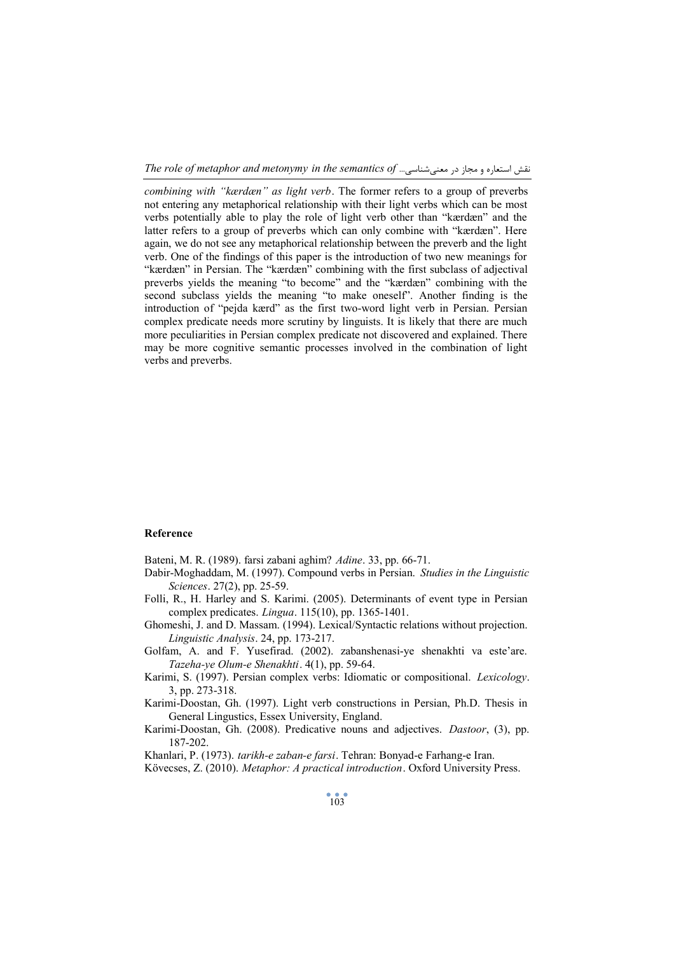*The role of metaphor and metonymy in the semantics of* ...معنیشناسی در مجاز و استعاره نقش

*combining with "kærdæn" as light verb*. The former refers to a group of preverbs not entering any metaphorical relationship with their light verbs which can be most verbs potentially able to play the role of light verb other than "kærdæn" and the latter refers to a group of preverbs which can only combine with "kærdæn". Here again, we do not see any metaphorical relationship between the preverb and the light verb. One of the findings of this paper is the introduction of two new meanings for "kærdæn" in Persian. The "kærdæn" combining with the first subclass of adjectival preverbs yields the meaning "to become" and the "kærdæn" combining with the second subclass yields the meaning "to make oneself". Another finding is the introduction of "pejda kærd" as the first two-word light verb in Persian. Persian complex predicate needs more scrutiny by linguists. It is likely that there are much more peculiarities in Persian complex predicate not discovered and explained. There may be more cognitive semantic processes involved in the combination of light verbs and preverbs.

### **Reference**

Bateni, M. R. (1989). farsi zabani aghim? *Adine*. 33, pp. 66-71.

- Dabir-Moghaddam, M. (1997). Compound verbs in Persian. *Studies in the Linguistic Sciences*. 27(2), pp. 25-59.
- Folli, R., H. Harley and S. Karimi. (2005). Determinants of event type in Persian complex predicates. *Lingua*. 115(10), pp. 1365-1401.
- Ghomeshi, J. and D. Massam. (1994). Lexical/Syntactic relations without projection. *Linguistic Analysis*. 24, pp. 173-217.
- Golfam, A. and F. Yusefirad. (2002). zabanshenasi-ye shenakhti va este'are. *Tazeha-ye Olum-e Shenakhti*. 4(1), pp. 59-64.
- Karimi, S. (1997). Persian complex verbs: Idiomatic or compositional. *Lexicology*. 3, pp. 273-318.
- Karimi-Doostan, Gh. (1997). Light verb constructions in Persian, Ph.D. Thesis in General Lingustics, Essex University, England.
- Karimi-Doostan, Gh. (2008). Predicative nouns and adjectives. *Dastoor*, (3), pp. 187-202.

Khanlari, P. (1973). *tarikh-e zaban-e farsi*. Tehran: Bonyad-e Farhang-e Iran.

Kövecses, Z. (2010). *Metaphor: A practical introduction*. Oxford University Press.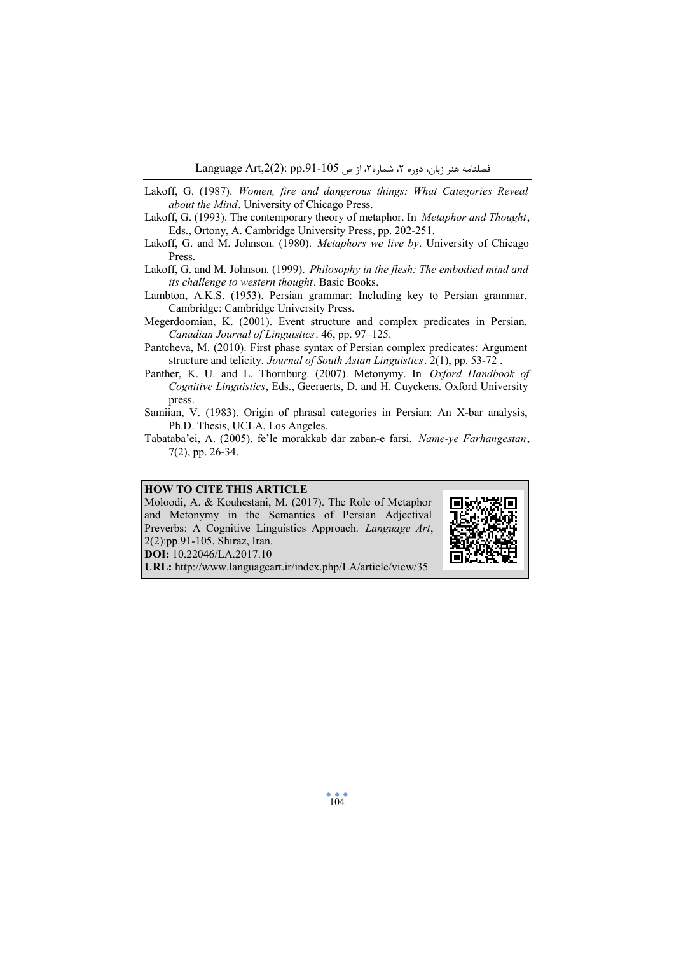- Lakoff, G. (1987). *Women, fire and dangerous things: What Categories Reveal about the Mind*. University of Chicago Press.
- Lakoff, G. (1993). The contemporary theory of metaphor. In *Metaphor and Thought*, Eds., Ortony, A. Cambridge University Press, pp. 202-251.
- Lakoff, G. and M. Johnson. (1980). *Metaphors we live by*. University of Chicago Press.
- Lakoff, G. and M. Johnson. (1999). *Philosophy in the flesh: The embodied mind and its challenge to western thought*. Basic Books.
- Lambton, A.K.S. (1953). Persian grammar: Including key to Persian grammar. Cambridge: Cambridge University Press.
- Megerdoomian, K. (2001). Event structure and complex predicates in Persian. *Canadian Journal of Linguistics*. 46, pp. 97–125.
- Pantcheva, M. (2010). First phase syntax of Persian complex predicates: Argument structure and telicity. *Journal of South Asian Linguistics*. 2(1), pp. 53-72 .
- Panther, K. U. and L. Thornburg. (2007). Metonymy. In *Oxford Handbook of Cognitive Linguistics*, Eds., Geeraerts, D. and H. Cuyckens. Oxford University press.
- Samiian, V. (1983). Origin of phrasal categories in Persian: An X-bar analysis, Ph.D. Thesis, UCLA, Los Angeles.
- Tabataba'ei, A. (2005). fe'le morakkab dar zaban-e farsi. *Name-ye Farhangestan*, 7(2), pp. 26-34.

# **HOW TO CITE THIS ARTICLE**

Moloodi, A. & Kouhestani, M. (2017). The Role of Metaphor and Metonymy in the Semantics of Persian Adjectival Preverbs: A Cognitive Linguistics Approach. *Language Art*, 2(2):pp.91-105, Shiraz, Iran. **DOI:** 10.22046/LA.2017.10



**URL:** http://www.languageart.ir/index.php/LA/article/view/35